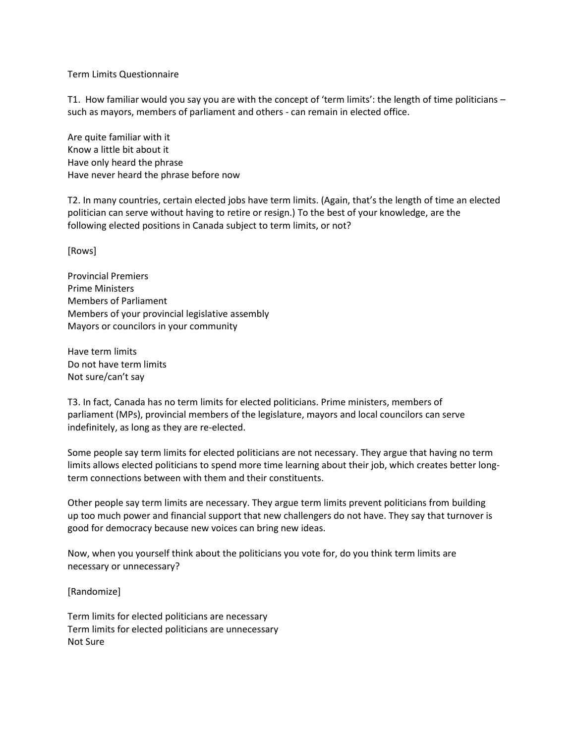Term Limits Questionnaire

T1. How familiar would you say you are with the concept of 'term limits': the length of time politicians – such as mayors, members of parliament and others - can remain in elected office.

Are quite familiar with it  Know a little bit about it  Have only heard the phrase  Have never heard the phrase before now 

T2. In many countries, certain elected jobs have term limits. (Again, that's the length of time an elected politician can serve without having to retire or resign.) To the best of your knowledge, are the following elected positions in Canada subject to term limits, or not?

[Rows]

Provincial Premiers Prime Ministers Members of Parliament Members of your provincial legislative assembly Mayors or councilors in your community

Have term limits Do not have term limits Not sure/can't say

T3. In fact, Canada has no term limits for elected politicians. Prime ministers, members of parliament (MPs), provincial members of the legislature, mayors and local councilors can serve indefinitely, as long as they are re-elected.

Some people say term limits for elected politicians are not necessary. They argue that having no term limits allows elected politicians to spend more time learning about their job, which creates better longterm connections between with them and their constituents.

Other people say term limits are necessary. They argue term limits prevent politicians from building up too much power and financial support that new challengers do not have. They say that turnover is good for democracy because new voices can bring new ideas.

Now, when you yourself think about the politicians you vote for, do you think term limits are necessary or unnecessary?

[Randomize]

Term limits for elected politicians are necessary Term limits for elected politicians are unnecessary Not Sure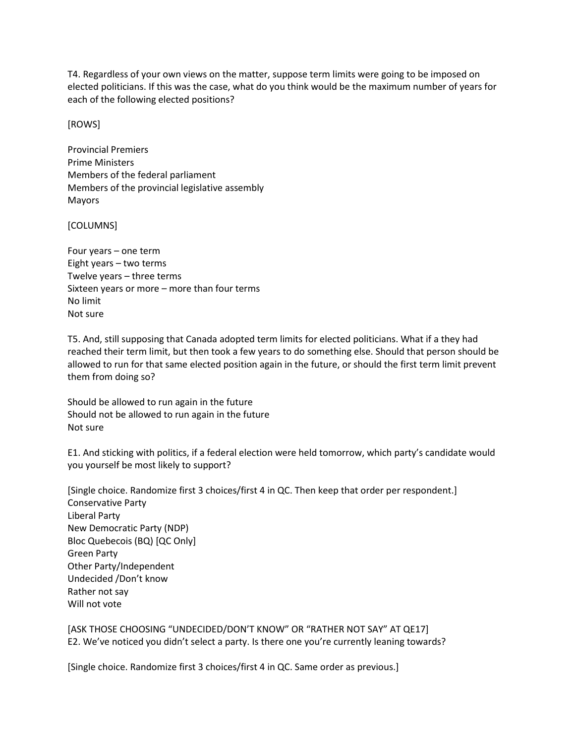T4. Regardless of your own views on the matter, suppose term limits were going to be imposed on elected politicians. If this was the case, what do you think would be the maximum number of years for each of the following elected positions?

[ROWS]

Provincial Premiers Prime Ministers Members of the federal parliament Members of the provincial legislative assembly Mayors

[COLUMNS]

Four years – one term Eight years – two terms Twelve years – three terms Sixteen years or more – more than four terms No limit Not sure

T5. And, still supposing that Canada adopted term limits for elected politicians. What if a they had reached their term limit, but then took a few years to do something else. Should that person should be allowed to run for that same elected position again in the future, or should the first term limit prevent them from doing so?

Should be allowed to run again in the future Should not be allowed to run again in the future Not sure

E1. And sticking with politics, if a federal election were held tomorrow, which party's candidate would you yourself be most likely to support?   

[Single choice. Randomize first 3 choices/first 4 in QC. Then keep that order per respondent.]  Conservative Party  Liberal Party   New Democratic Party (NDP)   Bloc Quebecois (BQ) [QC Only]  Green Party   Other Party/Independent   Undecided /Don't know   Rather not say   Will not vote  

[ASK THOSE CHOOSING "UNDECIDED/DON'T KNOW" OR "RATHER NOT SAY" AT QE17] E2. We've noticed you didn't select a party. Is there one you're currently leaning towards?

[Single choice. Randomize first 3 choices/first 4 in QC. Same order as previous.]